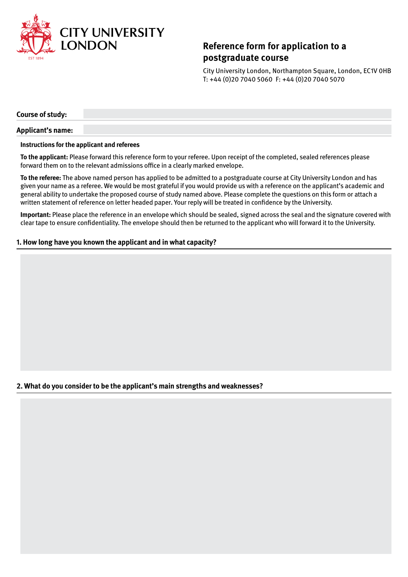

# **Reference form for application to a postgraduate course**

City University London, Northampton Square, London, EC1V 0HB T: +44 (0)20 7040 5060 F: +44 (0)20 7040 5070

**Course of study:**

### **Applicant's name:**

#### **Instructions for the applicant and referees**

**To the applicant:** Please forward this reference form to your referee. Upon receipt of the completed, sealed references please forward them on to the relevant admissions office in a clearly marked envelope.

**To the referee:** The above named person has applied to be admitted to a postgraduate course at City University London and has given your name as a referee. We would be most grateful if you would provide us with a reference on the applicant's academic and general ability to undertake the proposed course of study named above. Please complete the questions on this form or attach a written statement of reference on letter headed paper. Your reply will be treated in confidence by the University.

**Important:** Please place the reference in an envelope which should be sealed, signed across the seal and the signature covered with clear tape to ensure confidentiality. The envelope should then be returned to the applicant who will forward it to the University.

## **1. How long have you known the applicant and in what capacity?**

## **2. What do you consider to be the applicant's main strengths and weaknesses?**